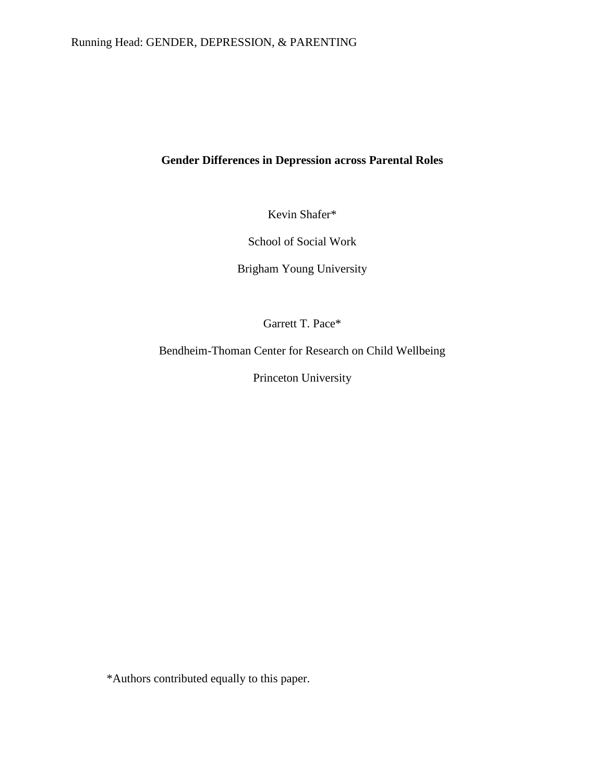# **Gender Differences in Depression across Parental Roles**

Kevin Shafer\*

School of Social Work

Brigham Young University

Garrett T. Pace\*

Bendheim-Thoman Center for Research on Child Wellbeing

Princeton University

\*Authors contributed equally to this paper.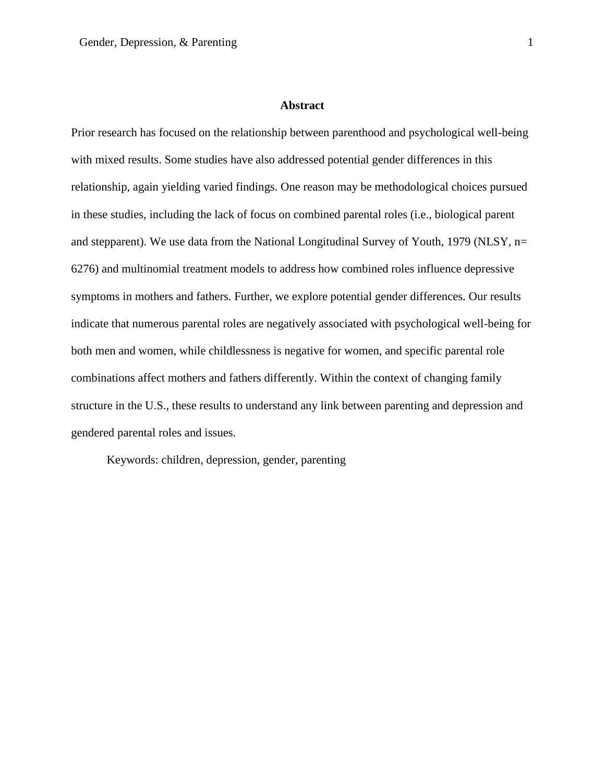#### **Abstract**

Prior research has focused on the relationship between parenthood and psychological well-being with mixed results. Some studies have also addressed potential gender differences in this relationship, again yielding varied findings. One reason may be methodological choices pursued in these studies, including the lack of focus on combined parental roles (i.e., biological parent and stepparent). We use data from the National Longitudinal Survey of Youth, 1979 (NLSY, n= 6276) and multinomial treatment models to address how combined roles influence depressive symptoms in mothers and fathers. Further, we explore potential gender differences. Our results indicate that numerous parental roles are negatively associated with psychological well-being for both men and women, while childlessness is negative for women, and specific parental role combinations affect mothers and fathers differently. Within the context of changing family structure in the U.S., these results to understand any link between parenting and depression and gendered parental roles and issues.

Keywords: children, depression, gender, parenting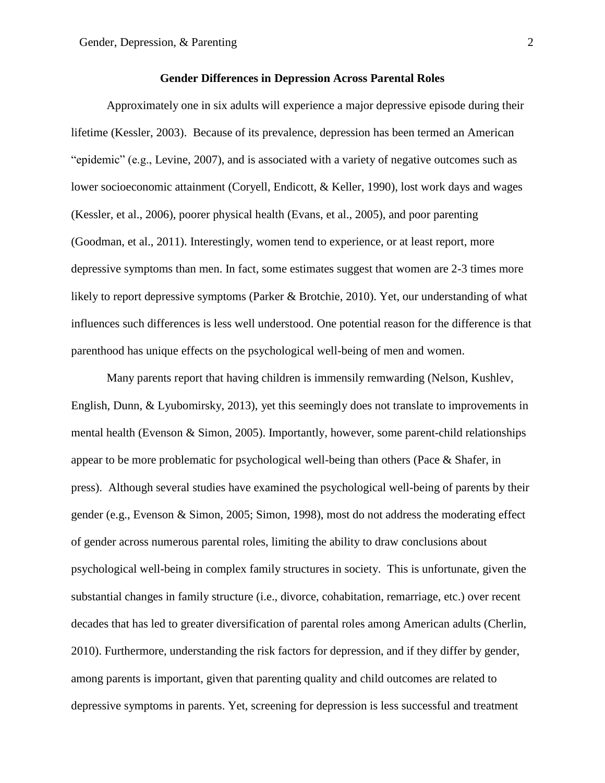# **Gender Differences in Depression Across Parental Roles**

Approximately one in six adults will experience a major depressive episode during their lifetime (Kessler, 2003). Because of its prevalence, depression has been termed an American "epidemic" (e.g., Levine, 2007), and is associated with a variety of negative outcomes such as lower socioeconomic attainment (Coryell, Endicott, & Keller, 1990), lost work days and wages (Kessler, et al., 2006), poorer physical health (Evans, et al., 2005), and poor parenting (Goodman, et al., 2011). Interestingly, women tend to experience, or at least report, more depressive symptoms than men. In fact, some estimates suggest that women are 2-3 times more likely to report depressive symptoms (Parker & Brotchie, 2010). Yet, our understanding of what influences such differences is less well understood. One potential reason for the difference is that parenthood has unique effects on the psychological well-being of men and women.

Many parents report that having children is immensily remwarding (Nelson, Kushlev, English, Dunn, & Lyubomirsky, 2013), yet this seemingly does not translate to improvements in mental health (Evenson & Simon, 2005). Importantly, however, some parent-child relationships appear to be more problematic for psychological well-being than others (Pace & Shafer, in press). Although several studies have examined the psychological well-being of parents by their gender (e.g., Evenson & Simon, 2005; Simon, 1998), most do not address the moderating effect of gender across numerous parental roles, limiting the ability to draw conclusions about psychological well-being in complex family structures in society. This is unfortunate, given the substantial changes in family structure (i.e., divorce, cohabitation, remarriage, etc.) over recent decades that has led to greater diversification of parental roles among American adults (Cherlin, 2010). Furthermore, understanding the risk factors for depression, and if they differ by gender, among parents is important, given that parenting quality and child outcomes are related to depressive symptoms in parents. Yet, screening for depression is less successful and treatment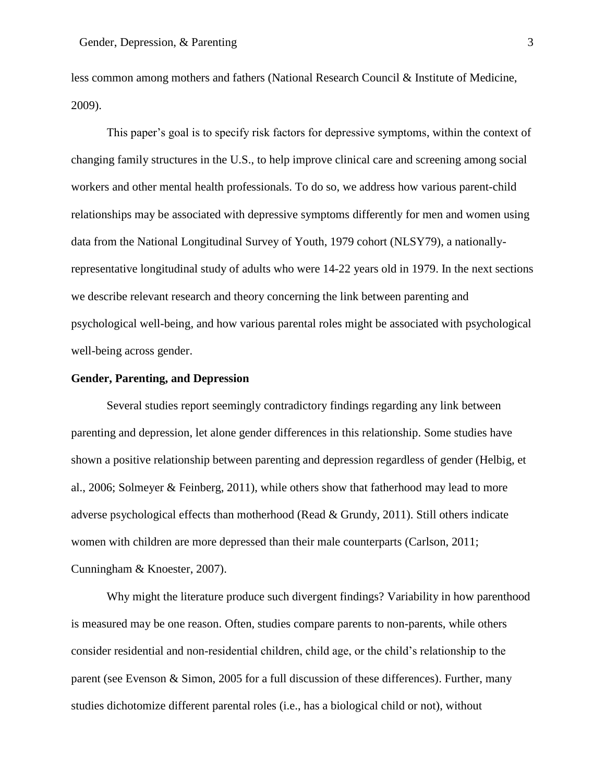less common among mothers and fathers (National Research Council & Institute of Medicine, 2009).

This paper's goal is to specify risk factors for depressive symptoms, within the context of changing family structures in the U.S., to help improve clinical care and screening among social workers and other mental health professionals. To do so, we address how various parent-child relationships may be associated with depressive symptoms differently for men and women using data from the National Longitudinal Survey of Youth, 1979 cohort (NLSY79), a nationallyrepresentative longitudinal study of adults who were 14-22 years old in 1979. In the next sections we describe relevant research and theory concerning the link between parenting and psychological well-being, and how various parental roles might be associated with psychological well-being across gender.

## **Gender, Parenting, and Depression**

Several studies report seemingly contradictory findings regarding any link between parenting and depression, let alone gender differences in this relationship. Some studies have shown a positive relationship between parenting and depression regardless of gender (Helbig, et al., 2006; Solmeyer & Feinberg, 2011), while others show that fatherhood may lead to more adverse psychological effects than motherhood (Read & Grundy, 2011). Still others indicate women with children are more depressed than their male counterparts (Carlson, 2011; Cunningham & Knoester, 2007).

Why might the literature produce such divergent findings? Variability in how parenthood is measured may be one reason. Often, studies compare parents to non-parents, while others consider residential and non-residential children, child age, or the child's relationship to the parent (see Evenson & Simon, 2005 for a full discussion of these differences). Further, many studies dichotomize different parental roles (i.e., has a biological child or not), without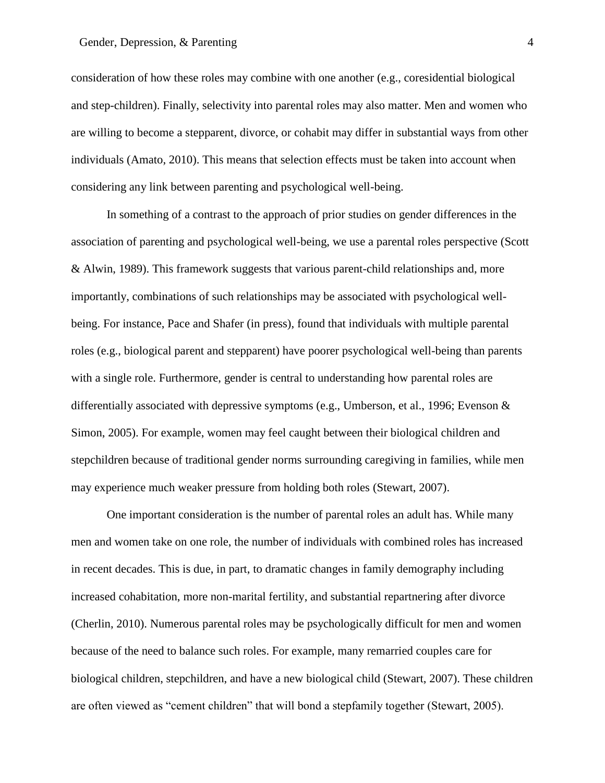## Gender, Depression, & Parenting 4

consideration of how these roles may combine with one another (e.g., coresidential biological and step-children). Finally, selectivity into parental roles may also matter. Men and women who are willing to become a stepparent, divorce, or cohabit may differ in substantial ways from other individuals (Amato, 2010). This means that selection effects must be taken into account when considering any link between parenting and psychological well-being.

In something of a contrast to the approach of prior studies on gender differences in the association of parenting and psychological well-being, we use a parental roles perspective (Scott & Alwin, 1989). This framework suggests that various parent-child relationships and, more importantly, combinations of such relationships may be associated with psychological wellbeing. For instance, Pace and Shafer (in press), found that individuals with multiple parental roles (e.g., biological parent and stepparent) have poorer psychological well-being than parents with a single role. Furthermore, gender is central to understanding how parental roles are differentially associated with depressive symptoms (e.g., Umberson, et al., 1996; Evenson & Simon, 2005). For example, women may feel caught between their biological children and stepchildren because of traditional gender norms surrounding caregiving in families, while men may experience much weaker pressure from holding both roles (Stewart, 2007).

One important consideration is the number of parental roles an adult has. While many men and women take on one role, the number of individuals with combined roles has increased in recent decades. This is due, in part, to dramatic changes in family demography including increased cohabitation, more non-marital fertility, and substantial repartnering after divorce (Cherlin, 2010). Numerous parental roles may be psychologically difficult for men and women because of the need to balance such roles. For example, many remarried couples care for biological children, stepchildren, and have a new biological child (Stewart, 2007). These children are often viewed as "cement children" that will bond a stepfamily together (Stewart, 2005).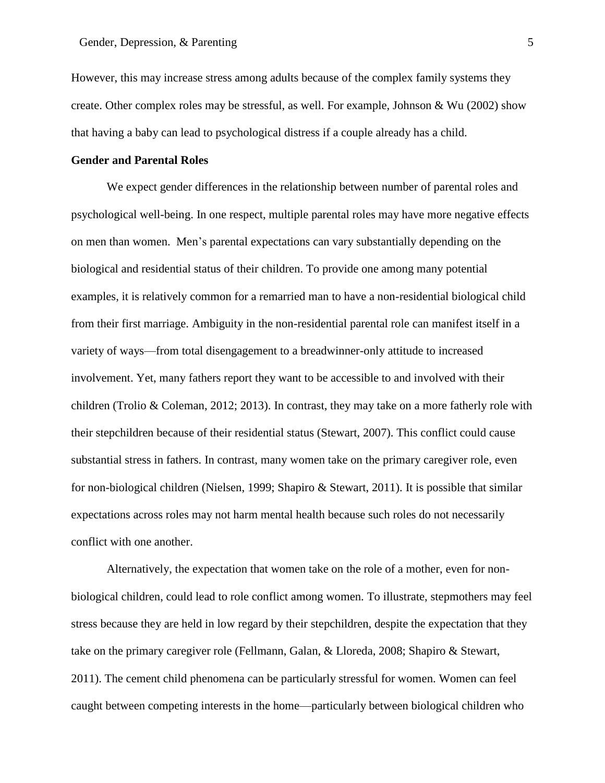However, this may increase stress among adults because of the complex family systems they create. Other complex roles may be stressful, as well. For example, Johnson & Wu (2002) show that having a baby can lead to psychological distress if a couple already has a child.

# **Gender and Parental Roles**

We expect gender differences in the relationship between number of parental roles and psychological well-being. In one respect, multiple parental roles may have more negative effects on men than women. Men's parental expectations can vary substantially depending on the biological and residential status of their children. To provide one among many potential examples, it is relatively common for a remarried man to have a non-residential biological child from their first marriage. Ambiguity in the non-residential parental role can manifest itself in a variety of ways—from total disengagement to a breadwinner-only attitude to increased involvement. Yet, many fathers report they want to be accessible to and involved with their children (Trolio & Coleman, 2012; 2013). In contrast, they may take on a more fatherly role with their stepchildren because of their residential status (Stewart, 2007). This conflict could cause substantial stress in fathers. In contrast, many women take on the primary caregiver role, even for non-biological children (Nielsen, 1999; Shapiro & Stewart, 2011). It is possible that similar expectations across roles may not harm mental health because such roles do not necessarily conflict with one another.

Alternatively, the expectation that women take on the role of a mother, even for nonbiological children, could lead to role conflict among women. To illustrate, stepmothers may feel stress because they are held in low regard by their stepchildren, despite the expectation that they take on the primary caregiver role (Fellmann, Galan, & Lloreda, 2008; Shapiro & Stewart, 2011). The cement child phenomena can be particularly stressful for women. Women can feel caught between competing interests in the home—particularly between biological children who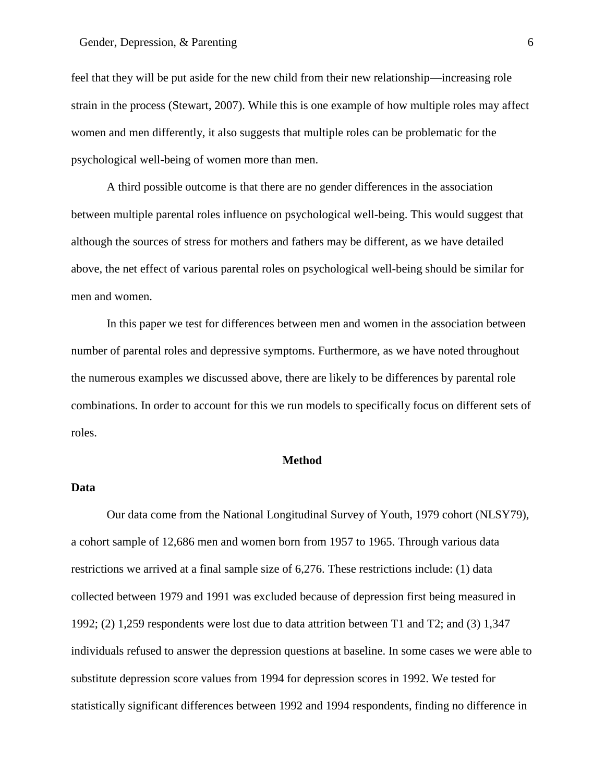feel that they will be put aside for the new child from their new relationship—increasing role strain in the process (Stewart, 2007). While this is one example of how multiple roles may affect women and men differently, it also suggests that multiple roles can be problematic for the psychological well-being of women more than men.

A third possible outcome is that there are no gender differences in the association between multiple parental roles influence on psychological well-being. This would suggest that although the sources of stress for mothers and fathers may be different, as we have detailed above, the net effect of various parental roles on psychological well-being should be similar for men and women.

In this paper we test for differences between men and women in the association between number of parental roles and depressive symptoms. Furthermore, as we have noted throughout the numerous examples we discussed above, there are likely to be differences by parental role combinations. In order to account for this we run models to specifically focus on different sets of roles.

#### **Method**

# **Data**

Our data come from the National Longitudinal Survey of Youth, 1979 cohort (NLSY79), a cohort sample of 12,686 men and women born from 1957 to 1965. Through various data restrictions we arrived at a final sample size of 6,276. These restrictions include: (1) data collected between 1979 and 1991 was excluded because of depression first being measured in 1992; (2) 1,259 respondents were lost due to data attrition between T1 and T2; and (3) 1,347 individuals refused to answer the depression questions at baseline. In some cases we were able to substitute depression score values from 1994 for depression scores in 1992. We tested for statistically significant differences between 1992 and 1994 respondents, finding no difference in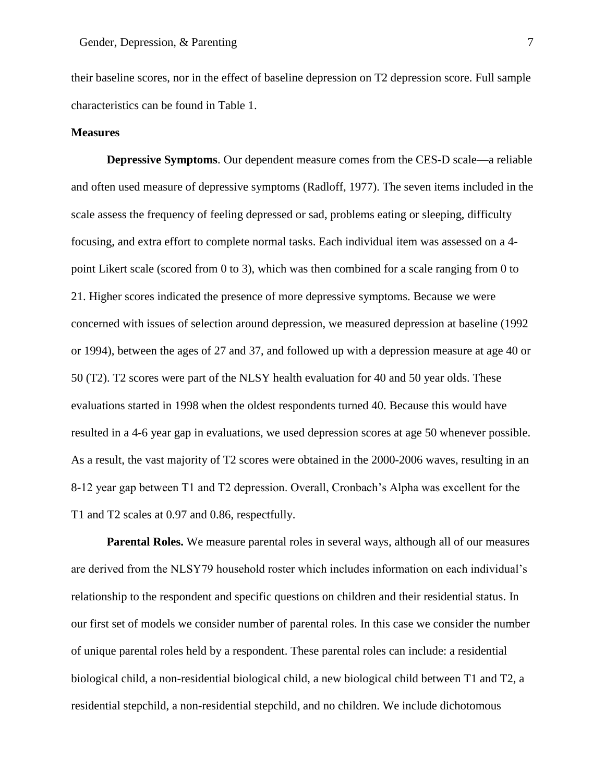their baseline scores, nor in the effect of baseline depression on T2 depression score. Full sample characteristics can be found in Table 1.

# **Measures**

**Depressive Symptoms**. Our dependent measure comes from the CES-D scale—a reliable and often used measure of depressive symptoms (Radloff, 1977). The seven items included in the scale assess the frequency of feeling depressed or sad, problems eating or sleeping, difficulty focusing, and extra effort to complete normal tasks. Each individual item was assessed on a 4 point Likert scale (scored from 0 to 3), which was then combined for a scale ranging from 0 to 21. Higher scores indicated the presence of more depressive symptoms. Because we were concerned with issues of selection around depression, we measured depression at baseline (1992 or 1994), between the ages of 27 and 37, and followed up with a depression measure at age 40 or 50 (T2). T2 scores were part of the NLSY health evaluation for 40 and 50 year olds. These evaluations started in 1998 when the oldest respondents turned 40. Because this would have resulted in a 4-6 year gap in evaluations, we used depression scores at age 50 whenever possible. As a result, the vast majority of T2 scores were obtained in the 2000-2006 waves, resulting in an 8-12 year gap between T1 and T2 depression. Overall, Cronbach's Alpha was excellent for the T1 and T2 scales at 0.97 and 0.86, respectfully.

**Parental Roles.** We measure parental roles in several ways, although all of our measures are derived from the NLSY79 household roster which includes information on each individual's relationship to the respondent and specific questions on children and their residential status. In our first set of models we consider number of parental roles. In this case we consider the number of unique parental roles held by a respondent. These parental roles can include: a residential biological child, a non-residential biological child, a new biological child between T1 and T2, a residential stepchild, a non-residential stepchild, and no children. We include dichotomous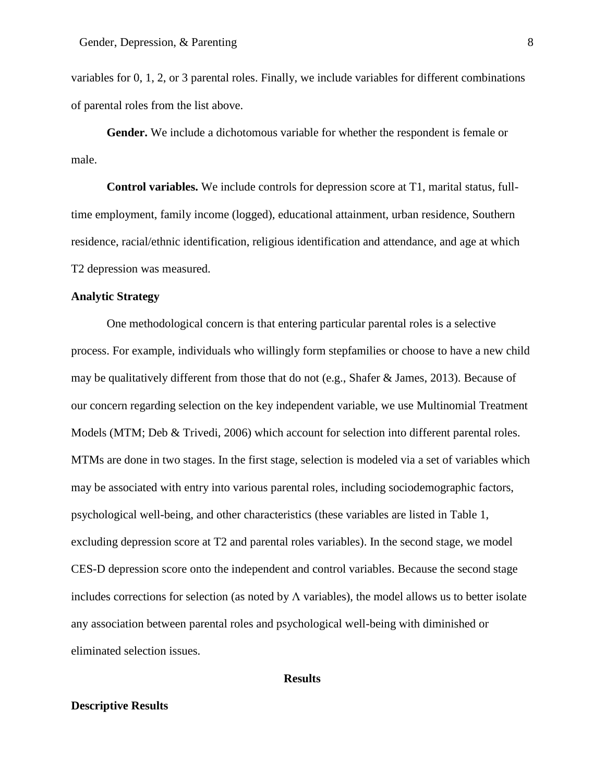variables for 0, 1, 2, or 3 parental roles. Finally, we include variables for different combinations of parental roles from the list above.

**Gender.** We include a dichotomous variable for whether the respondent is female or male.

**Control variables.** We include controls for depression score at T1, marital status, fulltime employment, family income (logged), educational attainment, urban residence, Southern residence, racial/ethnic identification, religious identification and attendance, and age at which T2 depression was measured.

# **Analytic Strategy**

One methodological concern is that entering particular parental roles is a selective process. For example, individuals who willingly form stepfamilies or choose to have a new child may be qualitatively different from those that do not (e.g., Shafer & James, 2013). Because of our concern regarding selection on the key independent variable, we use Multinomial Treatment Models (MTM; Deb & Trivedi, 2006) which account for selection into different parental roles. MTMs are done in two stages. In the first stage, selection is modeled via a set of variables which may be associated with entry into various parental roles, including sociodemographic factors, psychological well-being, and other characteristics (these variables are listed in Table 1, excluding depression score at T2 and parental roles variables). In the second stage, we model CES-D depression score onto the independent and control variables. Because the second stage includes corrections for selection (as noted by  $\Lambda$  variables), the model allows us to better isolate any association between parental roles and psychological well-being with diminished or eliminated selection issues.

#### **Results**

# **Descriptive Results**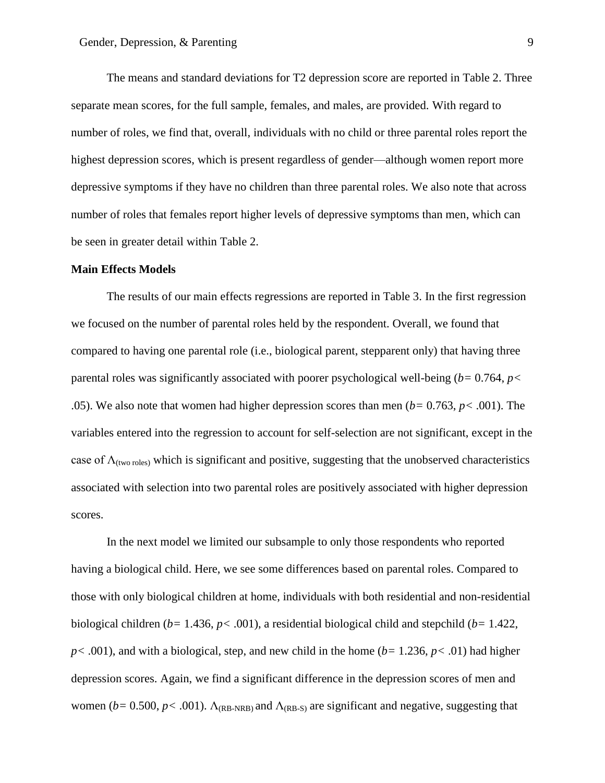The means and standard deviations for T2 depression score are reported in Table 2. Three separate mean scores, for the full sample, females, and males, are provided. With regard to number of roles, we find that, overall, individuals with no child or three parental roles report the highest depression scores, which is present regardless of gender—although women report more depressive symptoms if they have no children than three parental roles. We also note that across number of roles that females report higher levels of depressive symptoms than men, which can be seen in greater detail within Table 2.

#### **Main Effects Models**

The results of our main effects regressions are reported in Table 3. In the first regression we focused on the number of parental roles held by the respondent. Overall, we found that compared to having one parental role (i.e., biological parent, stepparent only) that having three parental roles was significantly associated with poorer psychological well-being (*b=* 0.764, *p<*  .05). We also note that women had higher depression scores than men (*b=* 0.763, *p<* .001). The variables entered into the regression to account for self-selection are not significant, except in the case of  $\Lambda_{\text{(two roles)}}$  which is significant and positive, suggesting that the unobserved characteristics associated with selection into two parental roles are positively associated with higher depression scores.

In the next model we limited our subsample to only those respondents who reported having a biological child. Here, we see some differences based on parental roles. Compared to those with only biological children at home, individuals with both residential and non-residential biological children (*b=* 1.436, *p<* .001), a residential biological child and stepchild (*b=* 1.422,  $p$ < .001), and with a biological, step, and new child in the home ( $b=1.236$ ,  $p$ < .01) had higher depression scores. Again, we find a significant difference in the depression scores of men and women ( $b= 0.500$ ,  $p < .001$ ).  $\Lambda_{(RB-NRB)}$  and  $\Lambda_{(RB-S)}$  are significant and negative, suggesting that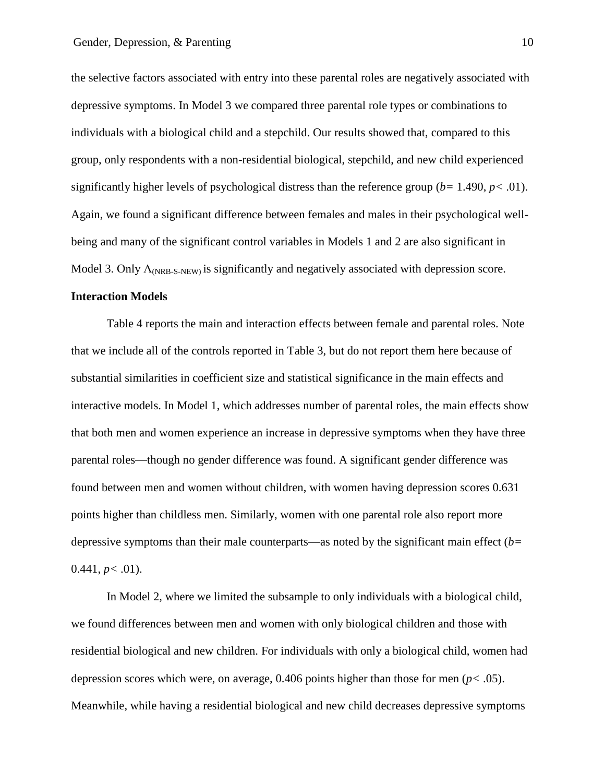the selective factors associated with entry into these parental roles are negatively associated with depressive symptoms. In Model 3 we compared three parental role types or combinations to individuals with a biological child and a stepchild. Our results showed that, compared to this group, only respondents with a non-residential biological, stepchild, and new child experienced significantly higher levels of psychological distress than the reference group  $(b= 1.490, p< .01)$ . Again, we found a significant difference between females and males in their psychological wellbeing and many of the significant control variables in Models 1 and 2 are also significant in Model 3. Only  $\Lambda_{\text{NRB-S-NEW}}$  is significantly and negatively associated with depression score.

# **Interaction Models**

Table 4 reports the main and interaction effects between female and parental roles. Note that we include all of the controls reported in Table 3, but do not report them here because of substantial similarities in coefficient size and statistical significance in the main effects and interactive models. In Model 1, which addresses number of parental roles, the main effects show that both men and women experience an increase in depressive symptoms when they have three parental roles—though no gender difference was found. A significant gender difference was found between men and women without children, with women having depression scores 0.631 points higher than childless men. Similarly, women with one parental role also report more depressive symptoms than their male counterparts—as noted by the significant main effect (*b=*   $0.441, p < .01$ ).

In Model 2, where we limited the subsample to only individuals with a biological child, we found differences between men and women with only biological children and those with residential biological and new children. For individuals with only a biological child, women had depression scores which were, on average, 0.406 points higher than those for men (*p<* .05). Meanwhile, while having a residential biological and new child decreases depressive symptoms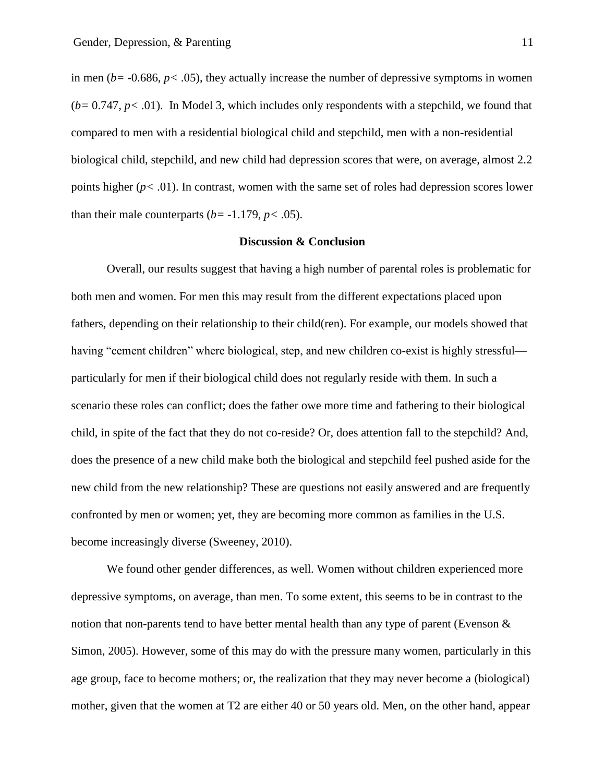in men ( $b = -0.686$ ,  $p < .05$ ), they actually increase the number of depressive symptoms in women (*b=* 0.747, *p<* .01). In Model 3, which includes only respondents with a stepchild, we found that compared to men with a residential biological child and stepchild, men with a non-residential biological child, stepchild, and new child had depression scores that were, on average, almost 2.2 points higher  $(p < .01)$ . In contrast, women with the same set of roles had depression scores lower than their male counterparts ( $b$ = -1.179,  $p$ < .05).

#### **Discussion & Conclusion**

Overall, our results suggest that having a high number of parental roles is problematic for both men and women. For men this may result from the different expectations placed upon fathers, depending on their relationship to their child(ren). For example, our models showed that having "cement children" where biological, step, and new children co-exist is highly stressful particularly for men if their biological child does not regularly reside with them. In such a scenario these roles can conflict; does the father owe more time and fathering to their biological child, in spite of the fact that they do not co-reside? Or, does attention fall to the stepchild? And, does the presence of a new child make both the biological and stepchild feel pushed aside for the new child from the new relationship? These are questions not easily answered and are frequently confronted by men or women; yet, they are becoming more common as families in the U.S. become increasingly diverse (Sweeney, 2010).

We found other gender differences, as well. Women without children experienced more depressive symptoms, on average, than men. To some extent, this seems to be in contrast to the notion that non-parents tend to have better mental health than any type of parent (Evenson  $\&$ Simon, 2005). However, some of this may do with the pressure many women, particularly in this age group, face to become mothers; or, the realization that they may never become a (biological) mother, given that the women at T2 are either 40 or 50 years old. Men, on the other hand, appear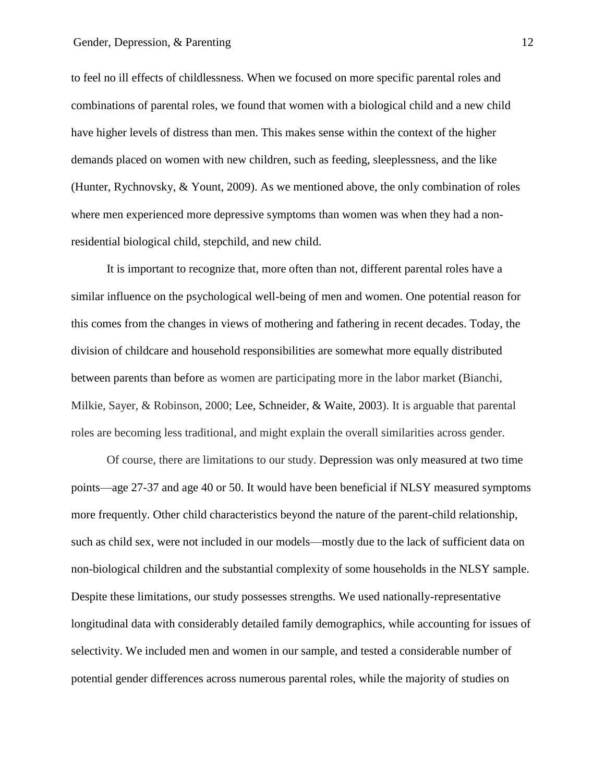to feel no ill effects of childlessness. When we focused on more specific parental roles and combinations of parental roles, we found that women with a biological child and a new child have higher levels of distress than men. This makes sense within the context of the higher demands placed on women with new children, such as feeding, sleeplessness, and the like (Hunter, Rychnovsky, & Yount, 2009). As we mentioned above, the only combination of roles where men experienced more depressive symptoms than women was when they had a nonresidential biological child, stepchild, and new child.

It is important to recognize that, more often than not, different parental roles have a similar influence on the psychological well-being of men and women. One potential reason for this comes from the changes in views of mothering and fathering in recent decades. Today, the division of childcare and household responsibilities are somewhat more equally distributed between parents than before as women are participating more in the labor market (Bianchi, Milkie, Sayer, & Robinson, 2000; Lee, Schneider, & Waite, 2003). It is arguable that parental roles are becoming less traditional, and might explain the overall similarities across gender.

Of course, there are limitations to our study. Depression was only measured at two time points—age 27-37 and age 40 or 50. It would have been beneficial if NLSY measured symptoms more frequently. Other child characteristics beyond the nature of the parent-child relationship, such as child sex, were not included in our models—mostly due to the lack of sufficient data on non-biological children and the substantial complexity of some households in the NLSY sample. Despite these limitations, our study possesses strengths. We used nationally-representative longitudinal data with considerably detailed family demographics, while accounting for issues of selectivity. We included men and women in our sample, and tested a considerable number of potential gender differences across numerous parental roles, while the majority of studies on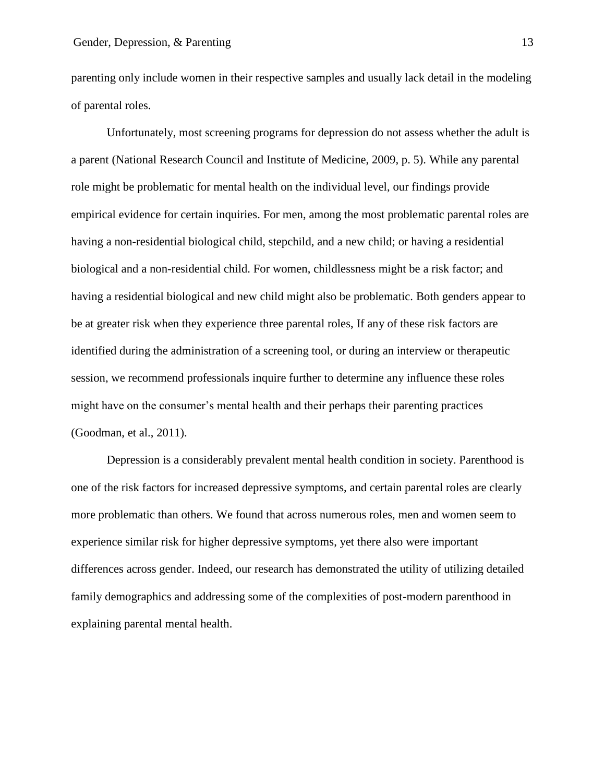parenting only include women in their respective samples and usually lack detail in the modeling of parental roles.

Unfortunately, most screening programs for depression do not assess whether the adult is a parent (National Research Council and Institute of Medicine, 2009, p. 5). While any parental role might be problematic for mental health on the individual level, our findings provide empirical evidence for certain inquiries. For men, among the most problematic parental roles are having a non-residential biological child, stepchild, and a new child; or having a residential biological and a non-residential child. For women, childlessness might be a risk factor; and having a residential biological and new child might also be problematic. Both genders appear to be at greater risk when they experience three parental roles, If any of these risk factors are identified during the administration of a screening tool, or during an interview or therapeutic session, we recommend professionals inquire further to determine any influence these roles might have on the consumer's mental health and their perhaps their parenting practices (Goodman, et al., 2011).

Depression is a considerably prevalent mental health condition in society. Parenthood is one of the risk factors for increased depressive symptoms, and certain parental roles are clearly more problematic than others. We found that across numerous roles, men and women seem to experience similar risk for higher depressive symptoms, yet there also were important differences across gender. Indeed, our research has demonstrated the utility of utilizing detailed family demographics and addressing some of the complexities of post-modern parenthood in explaining parental mental health.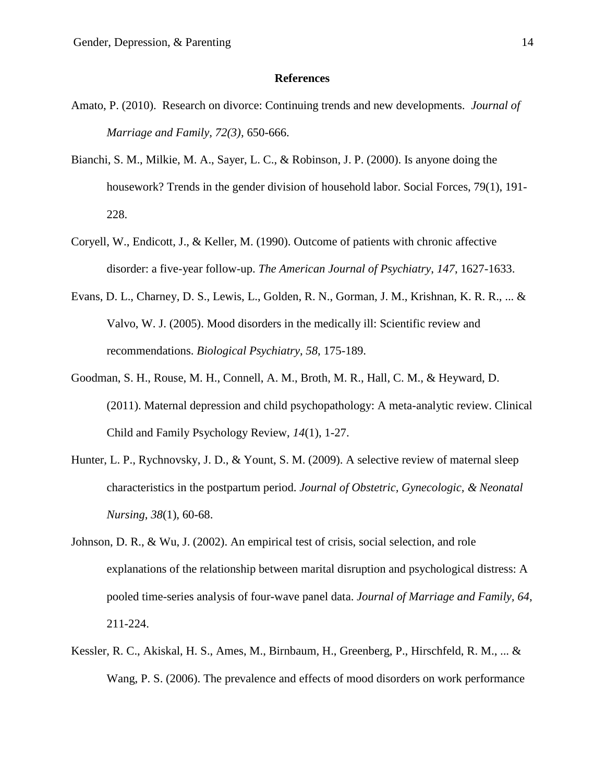#### **References**

- Amato, P. (2010). Research on divorce: Continuing trends and new developments. *Journal of Marriage and Family, 72(3),* 650-666.
- Bianchi, S. M., Milkie, M. A., Sayer, L. C., & Robinson, J. P. (2000). Is anyone doing the housework? Trends in the gender division of household labor. Social Forces, 79(1), 191- 228.
- Coryell, W., Endicott, J., & Keller, M. (1990). Outcome of patients with chronic affective disorder: a five-year follow-up. *The American Journal of Psychiatry*, *147*, 1627-1633.
- Evans, D. L., Charney, D. S., Lewis, L., Golden, R. N., Gorman, J. M., Krishnan, K. R. R., ... & Valvo, W. J. (2005). Mood disorders in the medically ill: Scientific review and recommendations. *Biological Psychiatry*, *58*, 175-189.
- Goodman, S. H., Rouse, M. H., Connell, A. M., Broth, M. R., Hall, C. M., & Heyward, D. (2011). Maternal depression and child psychopathology: A meta-analytic review. Clinical Child and Family Psychology Review, *14*(1), 1-27.
- Hunter, L. P., Rychnovsky, J. D., & Yount, S. M. (2009). A selective review of maternal sleep characteristics in the postpartum period. *Journal of Obstetric, Gynecologic, & Neonatal Nursing*, *38*(1), 60-68.
- Johnson, D. R., & Wu, J. (2002). An empirical test of crisis, social selection, and role explanations of the relationship between marital disruption and psychological distress: A pooled time-series analysis of four-wave panel data. *Journal of Marriage and Family, 64*, 211-224.
- Kessler, R. C., Akiskal, H. S., Ames, M., Birnbaum, H., Greenberg, P., Hirschfeld, R. M., ... & Wang, P. S. (2006). The prevalence and effects of mood disorders on work performance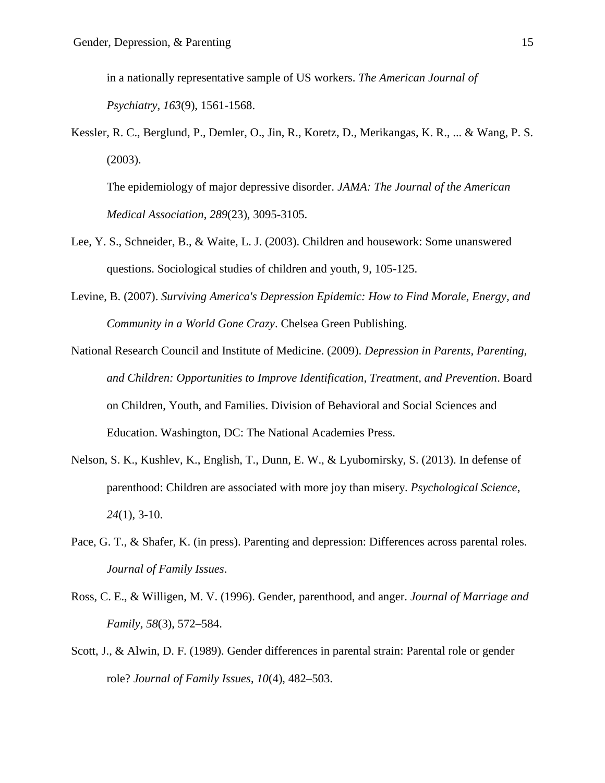in a nationally representative sample of US workers. *The American Journal of* 

*Psychiatry*, *163*(9), 1561-1568.

Kessler, R. C., Berglund, P., Demler, O., Jin, R., Koretz, D., Merikangas, K. R., ... & Wang, P. S. (2003).

The epidemiology of major depressive disorder. *JAMA: The Journal of the American Medical Association*, *289*(23), 3095-3105.

- Lee, Y. S., Schneider, B., & Waite, L. J. (2003). Children and housework: Some unanswered questions. Sociological studies of children and youth, 9, 105-125.
- Levine, B. (2007). *Surviving America's Depression Epidemic: How to Find Morale, Energy, and Community in a World Gone Crazy*. Chelsea Green Publishing.
- National Research Council and Institute of Medicine. (2009). *Depression in Parents, Parenting, and Children: Opportunities to Improve Identification, Treatment, and Prevention*. Board on Children, Youth, and Families. Division of Behavioral and Social Sciences and Education. Washington, DC: The National Academies Press.
- Nelson, S. K., Kushlev, K., English, T., Dunn, E. W., & Lyubomirsky, S. (2013). In defense of parenthood: Children are associated with more joy than misery. *Psychological Science*, *24*(1), 3-10.
- Pace, G. T., & Shafer, K. (in press). Parenting and depression: Differences across parental roles. *Journal of Family Issues*.
- Ross, C. E., & Willigen, M. V. (1996). Gender, parenthood, and anger. *Journal of Marriage and Family*, *58*(3), 572–584.
- Scott, J., & Alwin, D. F. (1989). Gender differences in parental strain: Parental role or gender role? *Journal of Family Issues*, *10*(4), 482–503.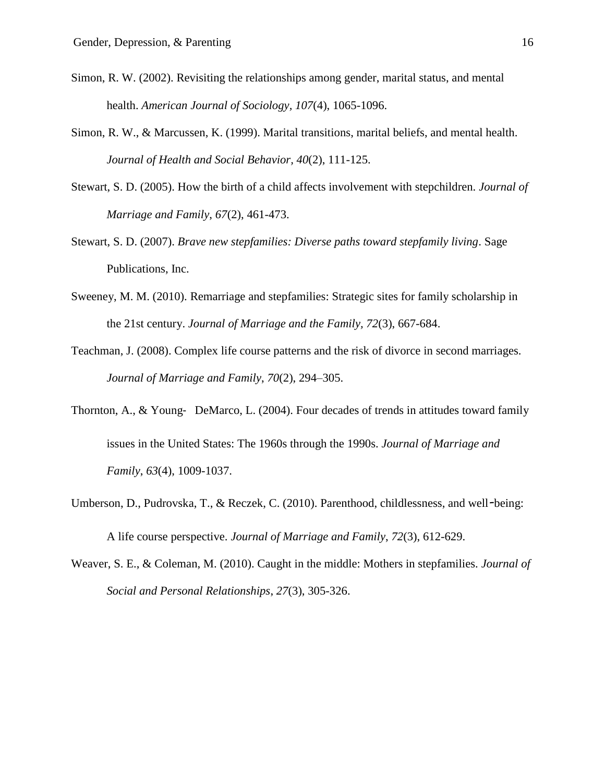- Simon, R. W. (2002). Revisiting the relationships among gender, marital status, and mental health. *American Journal of Sociology, 107*(4), 1065-1096.
- Simon, R. W., & Marcussen, K. (1999). Marital transitions, marital beliefs, and mental health. *Journal of Health and Social Behavior, 40*(2), 111-125.
- Stewart, S. D. (2005). How the birth of a child affects involvement with stepchildren. *Journal of Marriage and Family*, *67*(2), 461-473.
- Stewart, S. D. (2007). *Brave new stepfamilies: Diverse paths toward stepfamily living*. Sage Publications, Inc.
- Sweeney, M. M. (2010). Remarriage and stepfamilies: Strategic sites for family scholarship in the 21st century. *Journal of Marriage and the Family, 72*(3), 667-684.
- Teachman, J. (2008). Complex life course patterns and the risk of divorce in second marriages. *Journal of Marriage and Family*, *70*(2), 294–305.
- Thornton, A., & Young- DeMarco, L. (2004). Four decades of trends in attitudes toward family issues in the United States: The 1960s through the 1990s. *Journal of Marriage and Family*, *63*(4), 1009-1037.
- Umberson, D., Pudrovska, T., & Reczek, C. (2010). Parenthood, childlessness, and well*-*being: A life course perspective. *Journal of Marriage and Family*, *72*(3), 612-629.
- Weaver, S. E., & Coleman, M. (2010). Caught in the middle: Mothers in stepfamilies. *Journal of Social and Personal Relationships*, *27*(3), 305-326.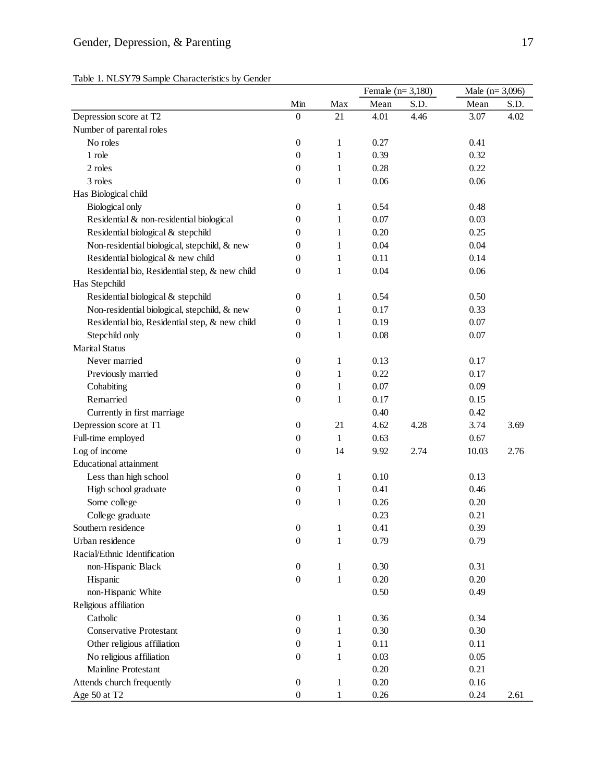|  |  |  | Table 1. NLSY79 Sample Characteristics by Gender |  |  |
|--|--|--|--------------------------------------------------|--|--|
|--|--|--|--------------------------------------------------|--|--|

|                                                |                  |              |      | Female $(n=3,180)$ |       | Male $(n=3,096)$ |  |
|------------------------------------------------|------------------|--------------|------|--------------------|-------|------------------|--|
|                                                | Min              | Max          | Mean | S.D.               | Mean  | S.D.             |  |
| Depression score at T2                         | $\boldsymbol{0}$ | 21           | 4.01 | 4.46               | 3.07  | 4.02             |  |
| Number of parental roles                       |                  |              |      |                    |       |                  |  |
| No roles                                       | $\boldsymbol{0}$ | 1            | 0.27 |                    | 0.41  |                  |  |
| 1 role                                         | $\boldsymbol{0}$ | 1            | 0.39 |                    | 0.32  |                  |  |
| 2 roles                                        | $\boldsymbol{0}$ | 1            | 0.28 |                    | 0.22  |                  |  |
| 3 roles                                        | $\boldsymbol{0}$ | 1            | 0.06 |                    | 0.06  |                  |  |
| Has Biological child                           |                  |              |      |                    |       |                  |  |
| <b>Biological</b> only                         | $\boldsymbol{0}$ | $\mathbf{1}$ | 0.54 |                    | 0.48  |                  |  |
| Residential & non-residential biological       | 0                | $\mathbf{1}$ | 0.07 |                    | 0.03  |                  |  |
| Residential biological & stepchild             | 0                | 1            | 0.20 |                    | 0.25  |                  |  |
| Non-residential biological, stepchild, & new   | 0                | 1            | 0.04 |                    | 0.04  |                  |  |
| Residential biological & new child             | 0                | 1            | 0.11 |                    | 0.14  |                  |  |
| Residential bio, Residential step, & new child | 0                | 1            | 0.04 |                    | 0.06  |                  |  |
| Has Stepchild                                  |                  |              |      |                    |       |                  |  |
| Residential biological & stepchild             | $\boldsymbol{0}$ | 1            | 0.54 |                    | 0.50  |                  |  |
| Non-residential biological, stepchild, & new   | 0                | 1            | 0.17 |                    | 0.33  |                  |  |
| Residential bio, Residential step, & new child | $\boldsymbol{0}$ | 1            | 0.19 |                    | 0.07  |                  |  |
| Stepchild only                                 | $\boldsymbol{0}$ | 1            | 0.08 |                    | 0.07  |                  |  |
| <b>Marital Status</b>                          |                  |              |      |                    |       |                  |  |
| Never married                                  | $\boldsymbol{0}$ | $\mathbf{1}$ | 0.13 |                    | 0.17  |                  |  |
| Previously married                             | $\boldsymbol{0}$ | $\mathbf{1}$ | 0.22 |                    | 0.17  |                  |  |
| Cohabiting                                     | $\boldsymbol{0}$ | 1            | 0.07 |                    | 0.09  |                  |  |
| Remarried                                      | $\boldsymbol{0}$ | $\mathbf{1}$ | 0.17 |                    | 0.15  |                  |  |
| Currently in first marriage                    |                  |              | 0.40 |                    | 0.42  |                  |  |
| Depression score at T1                         | $\boldsymbol{0}$ | 21           | 4.62 | 4.28               | 3.74  | 3.69             |  |
| Full-time employed                             | $\boldsymbol{0}$ | $\mathbf{1}$ | 0.63 |                    | 0.67  |                  |  |
| Log of income                                  | $\boldsymbol{0}$ | 14           | 9.92 | 2.74               | 10.03 | 2.76             |  |
| <b>Educational attainment</b>                  |                  |              |      |                    |       |                  |  |
| Less than high school                          | $\boldsymbol{0}$ | 1            | 0.10 |                    | 0.13  |                  |  |
| High school graduate                           | $\boldsymbol{0}$ | 1            | 0.41 |                    | 0.46  |                  |  |
| Some college                                   | $\boldsymbol{0}$ | $\mathbf{1}$ | 0.26 |                    | 0.20  |                  |  |
| College graduate                               |                  |              | 0.23 |                    | 0.21  |                  |  |
| Southern residence                             | $\overline{0}$   | 1            | 0.41 |                    | 0.39  |                  |  |
| Urban residence                                | $\boldsymbol{0}$ | $\mathbf{1}$ | 0.79 |                    | 0.79  |                  |  |
| Racial/Ethnic Identification                   |                  |              |      |                    |       |                  |  |
| non-Hispanic Black                             | $\boldsymbol{0}$ | $\mathbf{1}$ | 0.30 |                    | 0.31  |                  |  |
| Hispanic                                       | $\boldsymbol{0}$ | $\,1\,$      | 0.20 |                    | 0.20  |                  |  |
| non-Hispanic White                             |                  |              | 0.50 |                    | 0.49  |                  |  |
| Religious affiliation                          |                  |              |      |                    |       |                  |  |
| Catholic                                       | $\boldsymbol{0}$ | 1            | 0.36 |                    | 0.34  |                  |  |
| <b>Conservative Protestant</b>                 | 0                | $\mathbf{1}$ | 0.30 |                    | 0.30  |                  |  |
| Other religious affiliation                    | 0                | 1            | 0.11 |                    | 0.11  |                  |  |
| No religious affiliation                       | 0                | 1            | 0.03 |                    | 0.05  |                  |  |
| Mainline Protestant                            |                  |              | 0.20 |                    | 0.21  |                  |  |
| Attends church frequently                      | $\boldsymbol{0}$ | $\mathbf{1}$ | 0.20 |                    | 0.16  |                  |  |
| Age 50 at T2                                   | $\boldsymbol{0}$ | 1            | 0.26 |                    | 0.24  | 2.61             |  |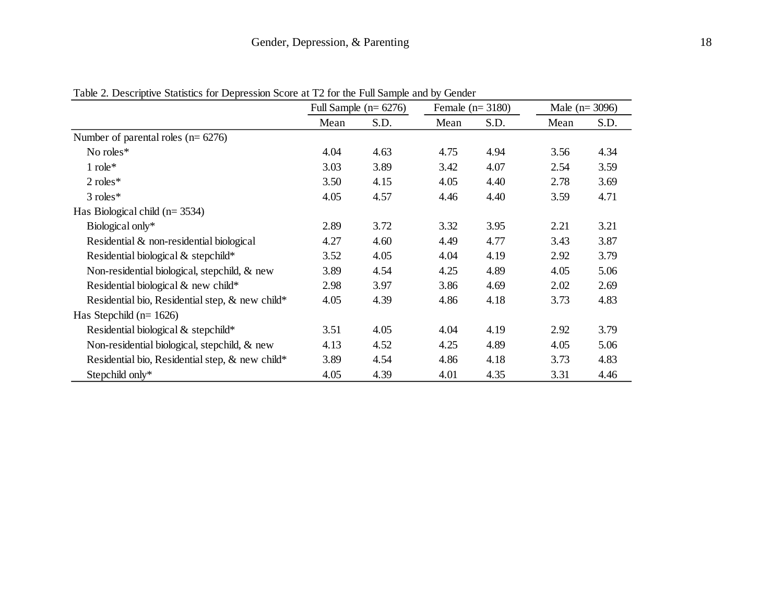|                                                 | Full Sample $(n=6276)$ |      | Female $(n=3180)$ |      | Male $(n=3096)$ |      |
|-------------------------------------------------|------------------------|------|-------------------|------|-----------------|------|
|                                                 | Mean                   | S.D. | Mean              | S.D. | Mean            | S.D. |
| Number of parental roles ( $n = 6276$ )         |                        |      |                   |      |                 |      |
| No roles*                                       | 4.04                   | 4.63 | 4.75              | 4.94 | 3.56            | 4.34 |
| $1$ role*                                       | 3.03                   | 3.89 | 3.42              | 4.07 | 2.54            | 3.59 |
| $2$ roles*                                      | 3.50                   | 4.15 | 4.05              | 4.40 | 2.78            | 3.69 |
| 3 roles*                                        | 4.05                   | 4.57 | 4.46              | 4.40 | 3.59            | 4.71 |
| Has Biological child $(n=3534)$                 |                        |      |                   |      |                 |      |
| Biological only*                                | 2.89                   | 3.72 | 3.32              | 3.95 | 2.21            | 3.21 |
| Residential & non-residential biological        | 4.27                   | 4.60 | 4.49              | 4.77 | 3.43            | 3.87 |
| Residential biological & stepchild*             | 3.52                   | 4.05 | 4.04              | 4.19 | 2.92            | 3.79 |
| Non-residential biological, stepchild, & new    | 3.89                   | 4.54 | 4.25              | 4.89 | 4.05            | 5.06 |
| Residential biological & new child*             | 2.98                   | 3.97 | 3.86              | 4.69 | 2.02            | 2.69 |
| Residential bio, Residential step, & new child* | 4.05                   | 4.39 | 4.86              | 4.18 | 3.73            | 4.83 |
| Has Stepchild ( $n=1626$ )                      |                        |      |                   |      |                 |      |
| Residential biological & stepchild*             | 3.51                   | 4.05 | 4.04              | 4.19 | 2.92            | 3.79 |
| Non-residential biological, stepchild, & new    | 4.13                   | 4.52 | 4.25              | 4.89 | 4.05            | 5.06 |
| Residential bio, Residential step, & new child* | 3.89                   | 4.54 | 4.86              | 4.18 | 3.73            | 4.83 |
| Stepchild only*                                 | 4.05                   | 4.39 | 4.01              | 4.35 | 3.31            | 4.46 |

Table 2. Descriptive Statistics for Depression Score at T2 for the Full Sample and by Gender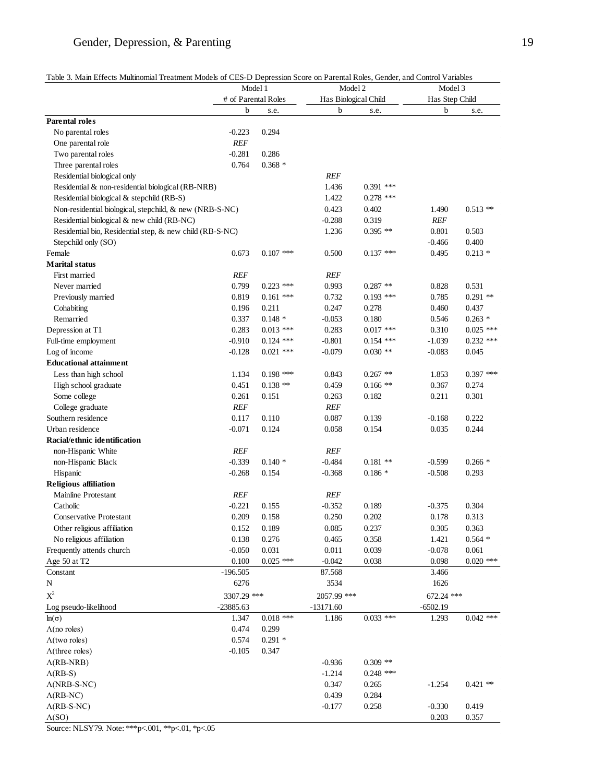# Gender, Depression, & Parenting 19

| Table 3. Main Effects Multinomial Treatment Models of CES-D Depression Score on Parental Roles, Gender, and Control Variables |  |
|-------------------------------------------------------------------------------------------------------------------------------|--|
|-------------------------------------------------------------------------------------------------------------------------------|--|

| # of Parental Roles<br>Has Biological Child<br>Has Step Child<br>b<br>b<br>b<br>s.e.<br>s.e.<br>s.e.<br>No parental roles<br>$-0.223$<br>0.294<br><b>REF</b><br>One parental role<br>$-0.281$<br>0.286<br>Two parental roles<br>$0.368 *$<br>0.764<br>Three parental roles<br><b>REF</b><br>Residential biological only<br>1.436<br>$0.391$ ***<br>Residential & non-residential biological (RB-NRB)<br>$0.278$ ***<br>1.422<br>Residential biological & stepchild (RB-S)<br>Non-residential biological, stepchild, & new (NRB-S-NC)<br>0.423<br>0.402<br>$0.513**$<br>1.490<br>0.319<br>Residential biological & new child (RB-NC)<br>$-0.288$<br><b>REF</b><br>Residential bio, Residential step, & new child (RB-S-NC)<br>1.236<br>$0.395**$<br>0.801<br>0.503<br>0.400<br>$-0.466$<br>Stepchild only (SO)<br>$0.107$ ***<br>$0.137$ ***<br>$0.213*$<br>0.673<br>0.500<br>0.495<br><b>Marital status</b><br>First married<br><b>REF</b><br><b>REF</b><br>0.799<br>Never married<br>$0.223$ ***<br>0.993<br>$0.287**$<br>0.828<br>0.531<br>0.819<br>$0.161$ ***<br>0.785<br>$0.291$ **<br>Previously married<br>0.732<br>$0.193$ ***<br>0.278<br>0.196<br>0.211<br>0.247<br>0.460<br>0.437<br>Cohabiting<br>$0.263*$<br>Remarried<br>0.337<br>$0.148*$<br>$-0.053$<br>0.180<br>0.546<br>0.283<br>$0.017$ ***<br>$0.025$ ***<br>$0.013$ ***<br>0.283<br>0.310<br>Depression at T1<br>$-0.910$<br>$0.232$ ***<br>Full-time employment<br>$0.124$ ***<br>$-0.801$<br>$0.154$ ***<br>$-1.039$<br>$0.030**$<br>Log of income<br>$-0.128$<br>$0.021$ ***<br>$-0.079$<br>$-0.083$<br>0.045<br><b>Educational attainment</b><br>$0.397$ ***<br>Less than high school<br>1.134<br>$0.198$ ***<br>0.843<br>$0.267$ **<br>1.853<br>0.451<br>0.367<br>0.274<br>$0.138**$<br>0.459<br>$0.166$ **<br>High school graduate<br>0.261<br>0.151<br>0.263<br>0.182<br>0.211<br>0.301<br>Some college<br>REF<br><b>REF</b><br>College graduate<br>Southern residence<br>0.117<br>0.110<br>0.087<br>0.139<br>$-0.168$<br>0.222<br>Urban residence<br>$-0.071$<br>0.124<br>0.154<br>0.035<br>0.244<br>0.058<br>Racial/ethnic identification<br>non-Hispanic White<br><b>REF</b><br><b>REF</b><br>$-0.339$<br>$0.140*$<br>$-0.484$<br>$0.181**$<br>$-0.599$<br>$0.266*$<br>non-Hispanic Black<br>$-0.268$<br>$-0.368$<br>$0.186*$<br>$-0.508$<br>0.293<br>Hispanic<br>0.154<br><b>Religious affiliation</b><br>Mainline Protestant<br><b>REF</b><br><b>REF</b><br>Catholic<br>$-0.221$<br>$-0.352$<br>0.189<br>$-0.375$<br>0.304<br>0.155<br>0.209<br>0.158<br>0.250<br>0.202<br>0.178<br>0.313<br><b>Conservative Protestant</b><br>Other religious affiliation<br>0.152<br>0.189<br>0.085<br>0.237<br>0.305<br>0.363<br>No religious affiliation<br>0.138<br>0.276<br>0.358<br>1.421<br>$0.564*$<br>0.465<br>0.039<br>Frequently attends church<br>$-0.050$<br>0.031<br>0.011<br>$-0.078$<br>0.061<br>$0.020$ ***<br>$0.025$ ***<br>Age 50 at T2<br>0.100<br>$-0.042$<br>0.038<br>0.098<br>$-196.505$<br>87.568<br>3.466<br>6276<br>3534<br>1626<br>N<br>$X^2$<br>3307.29 ***<br>2057.99 ***<br>672.24 ***<br>$-23885.63$<br>$-13171.60$<br>$-6502.19$<br>Log pseudo-likelihood<br>$0.018$ ***<br>$0.033$ ***<br>$0.042$ ***<br>1.347<br>1.186<br>1.293<br>$ln(\sigma)$<br>$\Lambda$ (no roles)<br>0.474<br>0.299<br>0.574<br>$0.291 *$<br>$\Lambda$ (two roles)<br>$\Lambda$ (three roles)<br>$-0.105$<br>0.347<br>$0.309**$<br>$\Lambda$ (RB-NRB)<br>$-0.936$<br>$0.248$ ***<br>$\Lambda$ (RB-S)<br>$-1.214$<br>0.265<br>$\Lambda(NRB-S-NC)$<br>0.347<br>$-1.254$<br>$0.421$ **<br>0.284<br>0.439<br>$\Lambda$ (RB-NC)<br>0.419<br>$\Lambda$ (RB-S-NC)<br>$-0.177$<br>0.258<br>$-0.330$<br>0.203<br>0.357 |                       | Model 1 |  | Model 2 |  | Model 3 |  |
|------------------------------------------------------------------------------------------------------------------------------------------------------------------------------------------------------------------------------------------------------------------------------------------------------------------------------------------------------------------------------------------------------------------------------------------------------------------------------------------------------------------------------------------------------------------------------------------------------------------------------------------------------------------------------------------------------------------------------------------------------------------------------------------------------------------------------------------------------------------------------------------------------------------------------------------------------------------------------------------------------------------------------------------------------------------------------------------------------------------------------------------------------------------------------------------------------------------------------------------------------------------------------------------------------------------------------------------------------------------------------------------------------------------------------------------------------------------------------------------------------------------------------------------------------------------------------------------------------------------------------------------------------------------------------------------------------------------------------------------------------------------------------------------------------------------------------------------------------------------------------------------------------------------------------------------------------------------------------------------------------------------------------------------------------------------------------------------------------------------------------------------------------------------------------------------------------------------------------------------------------------------------------------------------------------------------------------------------------------------------------------------------------------------------------------------------------------------------------------------------------------------------------------------------------------------------------------------------------------------------------------------------------------------------------------------------------------------------------------------------------------------------------------------------------------------------------------------------------------------------------------------------------------------------------------------------------------------------------------------------------------------------------------------------------------------------------------------------------------------------------------------------------------------------------------------------------------------------------------------------------------------------------------------------------------------------------------------------------------------------------------------------------------------------------------------------------------------------------------------------------------------------------------------------------------------------------------------------------------------------------------------------------------------------------------------|-----------------------|---------|--|---------|--|---------|--|
|                                                                                                                                                                                                                                                                                                                                                                                                                                                                                                                                                                                                                                                                                                                                                                                                                                                                                                                                                                                                                                                                                                                                                                                                                                                                                                                                                                                                                                                                                                                                                                                                                                                                                                                                                                                                                                                                                                                                                                                                                                                                                                                                                                                                                                                                                                                                                                                                                                                                                                                                                                                                                                                                                                                                                                                                                                                                                                                                                                                                                                                                                                                                                                                                                                                                                                                                                                                                                                                                                                                                                                                                                                                                                          |                       |         |  |         |  |         |  |
|                                                                                                                                                                                                                                                                                                                                                                                                                                                                                                                                                                                                                                                                                                                                                                                                                                                                                                                                                                                                                                                                                                                                                                                                                                                                                                                                                                                                                                                                                                                                                                                                                                                                                                                                                                                                                                                                                                                                                                                                                                                                                                                                                                                                                                                                                                                                                                                                                                                                                                                                                                                                                                                                                                                                                                                                                                                                                                                                                                                                                                                                                                                                                                                                                                                                                                                                                                                                                                                                                                                                                                                                                                                                                          |                       |         |  |         |  |         |  |
|                                                                                                                                                                                                                                                                                                                                                                                                                                                                                                                                                                                                                                                                                                                                                                                                                                                                                                                                                                                                                                                                                                                                                                                                                                                                                                                                                                                                                                                                                                                                                                                                                                                                                                                                                                                                                                                                                                                                                                                                                                                                                                                                                                                                                                                                                                                                                                                                                                                                                                                                                                                                                                                                                                                                                                                                                                                                                                                                                                                                                                                                                                                                                                                                                                                                                                                                                                                                                                                                                                                                                                                                                                                                                          | <b>Parental roles</b> |         |  |         |  |         |  |
|                                                                                                                                                                                                                                                                                                                                                                                                                                                                                                                                                                                                                                                                                                                                                                                                                                                                                                                                                                                                                                                                                                                                                                                                                                                                                                                                                                                                                                                                                                                                                                                                                                                                                                                                                                                                                                                                                                                                                                                                                                                                                                                                                                                                                                                                                                                                                                                                                                                                                                                                                                                                                                                                                                                                                                                                                                                                                                                                                                                                                                                                                                                                                                                                                                                                                                                                                                                                                                                                                                                                                                                                                                                                                          |                       |         |  |         |  |         |  |
|                                                                                                                                                                                                                                                                                                                                                                                                                                                                                                                                                                                                                                                                                                                                                                                                                                                                                                                                                                                                                                                                                                                                                                                                                                                                                                                                                                                                                                                                                                                                                                                                                                                                                                                                                                                                                                                                                                                                                                                                                                                                                                                                                                                                                                                                                                                                                                                                                                                                                                                                                                                                                                                                                                                                                                                                                                                                                                                                                                                                                                                                                                                                                                                                                                                                                                                                                                                                                                                                                                                                                                                                                                                                                          |                       |         |  |         |  |         |  |
|                                                                                                                                                                                                                                                                                                                                                                                                                                                                                                                                                                                                                                                                                                                                                                                                                                                                                                                                                                                                                                                                                                                                                                                                                                                                                                                                                                                                                                                                                                                                                                                                                                                                                                                                                                                                                                                                                                                                                                                                                                                                                                                                                                                                                                                                                                                                                                                                                                                                                                                                                                                                                                                                                                                                                                                                                                                                                                                                                                                                                                                                                                                                                                                                                                                                                                                                                                                                                                                                                                                                                                                                                                                                                          |                       |         |  |         |  |         |  |
|                                                                                                                                                                                                                                                                                                                                                                                                                                                                                                                                                                                                                                                                                                                                                                                                                                                                                                                                                                                                                                                                                                                                                                                                                                                                                                                                                                                                                                                                                                                                                                                                                                                                                                                                                                                                                                                                                                                                                                                                                                                                                                                                                                                                                                                                                                                                                                                                                                                                                                                                                                                                                                                                                                                                                                                                                                                                                                                                                                                                                                                                                                                                                                                                                                                                                                                                                                                                                                                                                                                                                                                                                                                                                          |                       |         |  |         |  |         |  |
|                                                                                                                                                                                                                                                                                                                                                                                                                                                                                                                                                                                                                                                                                                                                                                                                                                                                                                                                                                                                                                                                                                                                                                                                                                                                                                                                                                                                                                                                                                                                                                                                                                                                                                                                                                                                                                                                                                                                                                                                                                                                                                                                                                                                                                                                                                                                                                                                                                                                                                                                                                                                                                                                                                                                                                                                                                                                                                                                                                                                                                                                                                                                                                                                                                                                                                                                                                                                                                                                                                                                                                                                                                                                                          |                       |         |  |         |  |         |  |
|                                                                                                                                                                                                                                                                                                                                                                                                                                                                                                                                                                                                                                                                                                                                                                                                                                                                                                                                                                                                                                                                                                                                                                                                                                                                                                                                                                                                                                                                                                                                                                                                                                                                                                                                                                                                                                                                                                                                                                                                                                                                                                                                                                                                                                                                                                                                                                                                                                                                                                                                                                                                                                                                                                                                                                                                                                                                                                                                                                                                                                                                                                                                                                                                                                                                                                                                                                                                                                                                                                                                                                                                                                                                                          |                       |         |  |         |  |         |  |
|                                                                                                                                                                                                                                                                                                                                                                                                                                                                                                                                                                                                                                                                                                                                                                                                                                                                                                                                                                                                                                                                                                                                                                                                                                                                                                                                                                                                                                                                                                                                                                                                                                                                                                                                                                                                                                                                                                                                                                                                                                                                                                                                                                                                                                                                                                                                                                                                                                                                                                                                                                                                                                                                                                                                                                                                                                                                                                                                                                                                                                                                                                                                                                                                                                                                                                                                                                                                                                                                                                                                                                                                                                                                                          |                       |         |  |         |  |         |  |
|                                                                                                                                                                                                                                                                                                                                                                                                                                                                                                                                                                                                                                                                                                                                                                                                                                                                                                                                                                                                                                                                                                                                                                                                                                                                                                                                                                                                                                                                                                                                                                                                                                                                                                                                                                                                                                                                                                                                                                                                                                                                                                                                                                                                                                                                                                                                                                                                                                                                                                                                                                                                                                                                                                                                                                                                                                                                                                                                                                                                                                                                                                                                                                                                                                                                                                                                                                                                                                                                                                                                                                                                                                                                                          |                       |         |  |         |  |         |  |
|                                                                                                                                                                                                                                                                                                                                                                                                                                                                                                                                                                                                                                                                                                                                                                                                                                                                                                                                                                                                                                                                                                                                                                                                                                                                                                                                                                                                                                                                                                                                                                                                                                                                                                                                                                                                                                                                                                                                                                                                                                                                                                                                                                                                                                                                                                                                                                                                                                                                                                                                                                                                                                                                                                                                                                                                                                                                                                                                                                                                                                                                                                                                                                                                                                                                                                                                                                                                                                                                                                                                                                                                                                                                                          |                       |         |  |         |  |         |  |
|                                                                                                                                                                                                                                                                                                                                                                                                                                                                                                                                                                                                                                                                                                                                                                                                                                                                                                                                                                                                                                                                                                                                                                                                                                                                                                                                                                                                                                                                                                                                                                                                                                                                                                                                                                                                                                                                                                                                                                                                                                                                                                                                                                                                                                                                                                                                                                                                                                                                                                                                                                                                                                                                                                                                                                                                                                                                                                                                                                                                                                                                                                                                                                                                                                                                                                                                                                                                                                                                                                                                                                                                                                                                                          |                       |         |  |         |  |         |  |
|                                                                                                                                                                                                                                                                                                                                                                                                                                                                                                                                                                                                                                                                                                                                                                                                                                                                                                                                                                                                                                                                                                                                                                                                                                                                                                                                                                                                                                                                                                                                                                                                                                                                                                                                                                                                                                                                                                                                                                                                                                                                                                                                                                                                                                                                                                                                                                                                                                                                                                                                                                                                                                                                                                                                                                                                                                                                                                                                                                                                                                                                                                                                                                                                                                                                                                                                                                                                                                                                                                                                                                                                                                                                                          |                       |         |  |         |  |         |  |
|                                                                                                                                                                                                                                                                                                                                                                                                                                                                                                                                                                                                                                                                                                                                                                                                                                                                                                                                                                                                                                                                                                                                                                                                                                                                                                                                                                                                                                                                                                                                                                                                                                                                                                                                                                                                                                                                                                                                                                                                                                                                                                                                                                                                                                                                                                                                                                                                                                                                                                                                                                                                                                                                                                                                                                                                                                                                                                                                                                                                                                                                                                                                                                                                                                                                                                                                                                                                                                                                                                                                                                                                                                                                                          | Female                |         |  |         |  |         |  |
|                                                                                                                                                                                                                                                                                                                                                                                                                                                                                                                                                                                                                                                                                                                                                                                                                                                                                                                                                                                                                                                                                                                                                                                                                                                                                                                                                                                                                                                                                                                                                                                                                                                                                                                                                                                                                                                                                                                                                                                                                                                                                                                                                                                                                                                                                                                                                                                                                                                                                                                                                                                                                                                                                                                                                                                                                                                                                                                                                                                                                                                                                                                                                                                                                                                                                                                                                                                                                                                                                                                                                                                                                                                                                          |                       |         |  |         |  |         |  |
|                                                                                                                                                                                                                                                                                                                                                                                                                                                                                                                                                                                                                                                                                                                                                                                                                                                                                                                                                                                                                                                                                                                                                                                                                                                                                                                                                                                                                                                                                                                                                                                                                                                                                                                                                                                                                                                                                                                                                                                                                                                                                                                                                                                                                                                                                                                                                                                                                                                                                                                                                                                                                                                                                                                                                                                                                                                                                                                                                                                                                                                                                                                                                                                                                                                                                                                                                                                                                                                                                                                                                                                                                                                                                          |                       |         |  |         |  |         |  |
|                                                                                                                                                                                                                                                                                                                                                                                                                                                                                                                                                                                                                                                                                                                                                                                                                                                                                                                                                                                                                                                                                                                                                                                                                                                                                                                                                                                                                                                                                                                                                                                                                                                                                                                                                                                                                                                                                                                                                                                                                                                                                                                                                                                                                                                                                                                                                                                                                                                                                                                                                                                                                                                                                                                                                                                                                                                                                                                                                                                                                                                                                                                                                                                                                                                                                                                                                                                                                                                                                                                                                                                                                                                                                          |                       |         |  |         |  |         |  |
|                                                                                                                                                                                                                                                                                                                                                                                                                                                                                                                                                                                                                                                                                                                                                                                                                                                                                                                                                                                                                                                                                                                                                                                                                                                                                                                                                                                                                                                                                                                                                                                                                                                                                                                                                                                                                                                                                                                                                                                                                                                                                                                                                                                                                                                                                                                                                                                                                                                                                                                                                                                                                                                                                                                                                                                                                                                                                                                                                                                                                                                                                                                                                                                                                                                                                                                                                                                                                                                                                                                                                                                                                                                                                          |                       |         |  |         |  |         |  |
|                                                                                                                                                                                                                                                                                                                                                                                                                                                                                                                                                                                                                                                                                                                                                                                                                                                                                                                                                                                                                                                                                                                                                                                                                                                                                                                                                                                                                                                                                                                                                                                                                                                                                                                                                                                                                                                                                                                                                                                                                                                                                                                                                                                                                                                                                                                                                                                                                                                                                                                                                                                                                                                                                                                                                                                                                                                                                                                                                                                                                                                                                                                                                                                                                                                                                                                                                                                                                                                                                                                                                                                                                                                                                          |                       |         |  |         |  |         |  |
|                                                                                                                                                                                                                                                                                                                                                                                                                                                                                                                                                                                                                                                                                                                                                                                                                                                                                                                                                                                                                                                                                                                                                                                                                                                                                                                                                                                                                                                                                                                                                                                                                                                                                                                                                                                                                                                                                                                                                                                                                                                                                                                                                                                                                                                                                                                                                                                                                                                                                                                                                                                                                                                                                                                                                                                                                                                                                                                                                                                                                                                                                                                                                                                                                                                                                                                                                                                                                                                                                                                                                                                                                                                                                          |                       |         |  |         |  |         |  |
|                                                                                                                                                                                                                                                                                                                                                                                                                                                                                                                                                                                                                                                                                                                                                                                                                                                                                                                                                                                                                                                                                                                                                                                                                                                                                                                                                                                                                                                                                                                                                                                                                                                                                                                                                                                                                                                                                                                                                                                                                                                                                                                                                                                                                                                                                                                                                                                                                                                                                                                                                                                                                                                                                                                                                                                                                                                                                                                                                                                                                                                                                                                                                                                                                                                                                                                                                                                                                                                                                                                                                                                                                                                                                          |                       |         |  |         |  |         |  |
|                                                                                                                                                                                                                                                                                                                                                                                                                                                                                                                                                                                                                                                                                                                                                                                                                                                                                                                                                                                                                                                                                                                                                                                                                                                                                                                                                                                                                                                                                                                                                                                                                                                                                                                                                                                                                                                                                                                                                                                                                                                                                                                                                                                                                                                                                                                                                                                                                                                                                                                                                                                                                                                                                                                                                                                                                                                                                                                                                                                                                                                                                                                                                                                                                                                                                                                                                                                                                                                                                                                                                                                                                                                                                          |                       |         |  |         |  |         |  |
|                                                                                                                                                                                                                                                                                                                                                                                                                                                                                                                                                                                                                                                                                                                                                                                                                                                                                                                                                                                                                                                                                                                                                                                                                                                                                                                                                                                                                                                                                                                                                                                                                                                                                                                                                                                                                                                                                                                                                                                                                                                                                                                                                                                                                                                                                                                                                                                                                                                                                                                                                                                                                                                                                                                                                                                                                                                                                                                                                                                                                                                                                                                                                                                                                                                                                                                                                                                                                                                                                                                                                                                                                                                                                          |                       |         |  |         |  |         |  |
|                                                                                                                                                                                                                                                                                                                                                                                                                                                                                                                                                                                                                                                                                                                                                                                                                                                                                                                                                                                                                                                                                                                                                                                                                                                                                                                                                                                                                                                                                                                                                                                                                                                                                                                                                                                                                                                                                                                                                                                                                                                                                                                                                                                                                                                                                                                                                                                                                                                                                                                                                                                                                                                                                                                                                                                                                                                                                                                                                                                                                                                                                                                                                                                                                                                                                                                                                                                                                                                                                                                                                                                                                                                                                          |                       |         |  |         |  |         |  |
|                                                                                                                                                                                                                                                                                                                                                                                                                                                                                                                                                                                                                                                                                                                                                                                                                                                                                                                                                                                                                                                                                                                                                                                                                                                                                                                                                                                                                                                                                                                                                                                                                                                                                                                                                                                                                                                                                                                                                                                                                                                                                                                                                                                                                                                                                                                                                                                                                                                                                                                                                                                                                                                                                                                                                                                                                                                                                                                                                                                                                                                                                                                                                                                                                                                                                                                                                                                                                                                                                                                                                                                                                                                                                          |                       |         |  |         |  |         |  |
|                                                                                                                                                                                                                                                                                                                                                                                                                                                                                                                                                                                                                                                                                                                                                                                                                                                                                                                                                                                                                                                                                                                                                                                                                                                                                                                                                                                                                                                                                                                                                                                                                                                                                                                                                                                                                                                                                                                                                                                                                                                                                                                                                                                                                                                                                                                                                                                                                                                                                                                                                                                                                                                                                                                                                                                                                                                                                                                                                                                                                                                                                                                                                                                                                                                                                                                                                                                                                                                                                                                                                                                                                                                                                          |                       |         |  |         |  |         |  |
|                                                                                                                                                                                                                                                                                                                                                                                                                                                                                                                                                                                                                                                                                                                                                                                                                                                                                                                                                                                                                                                                                                                                                                                                                                                                                                                                                                                                                                                                                                                                                                                                                                                                                                                                                                                                                                                                                                                                                                                                                                                                                                                                                                                                                                                                                                                                                                                                                                                                                                                                                                                                                                                                                                                                                                                                                                                                                                                                                                                                                                                                                                                                                                                                                                                                                                                                                                                                                                                                                                                                                                                                                                                                                          |                       |         |  |         |  |         |  |
|                                                                                                                                                                                                                                                                                                                                                                                                                                                                                                                                                                                                                                                                                                                                                                                                                                                                                                                                                                                                                                                                                                                                                                                                                                                                                                                                                                                                                                                                                                                                                                                                                                                                                                                                                                                                                                                                                                                                                                                                                                                                                                                                                                                                                                                                                                                                                                                                                                                                                                                                                                                                                                                                                                                                                                                                                                                                                                                                                                                                                                                                                                                                                                                                                                                                                                                                                                                                                                                                                                                                                                                                                                                                                          |                       |         |  |         |  |         |  |
|                                                                                                                                                                                                                                                                                                                                                                                                                                                                                                                                                                                                                                                                                                                                                                                                                                                                                                                                                                                                                                                                                                                                                                                                                                                                                                                                                                                                                                                                                                                                                                                                                                                                                                                                                                                                                                                                                                                                                                                                                                                                                                                                                                                                                                                                                                                                                                                                                                                                                                                                                                                                                                                                                                                                                                                                                                                                                                                                                                                                                                                                                                                                                                                                                                                                                                                                                                                                                                                                                                                                                                                                                                                                                          |                       |         |  |         |  |         |  |
|                                                                                                                                                                                                                                                                                                                                                                                                                                                                                                                                                                                                                                                                                                                                                                                                                                                                                                                                                                                                                                                                                                                                                                                                                                                                                                                                                                                                                                                                                                                                                                                                                                                                                                                                                                                                                                                                                                                                                                                                                                                                                                                                                                                                                                                                                                                                                                                                                                                                                                                                                                                                                                                                                                                                                                                                                                                                                                                                                                                                                                                                                                                                                                                                                                                                                                                                                                                                                                                                                                                                                                                                                                                                                          |                       |         |  |         |  |         |  |
|                                                                                                                                                                                                                                                                                                                                                                                                                                                                                                                                                                                                                                                                                                                                                                                                                                                                                                                                                                                                                                                                                                                                                                                                                                                                                                                                                                                                                                                                                                                                                                                                                                                                                                                                                                                                                                                                                                                                                                                                                                                                                                                                                                                                                                                                                                                                                                                                                                                                                                                                                                                                                                                                                                                                                                                                                                                                                                                                                                                                                                                                                                                                                                                                                                                                                                                                                                                                                                                                                                                                                                                                                                                                                          |                       |         |  |         |  |         |  |
|                                                                                                                                                                                                                                                                                                                                                                                                                                                                                                                                                                                                                                                                                                                                                                                                                                                                                                                                                                                                                                                                                                                                                                                                                                                                                                                                                                                                                                                                                                                                                                                                                                                                                                                                                                                                                                                                                                                                                                                                                                                                                                                                                                                                                                                                                                                                                                                                                                                                                                                                                                                                                                                                                                                                                                                                                                                                                                                                                                                                                                                                                                                                                                                                                                                                                                                                                                                                                                                                                                                                                                                                                                                                                          |                       |         |  |         |  |         |  |
|                                                                                                                                                                                                                                                                                                                                                                                                                                                                                                                                                                                                                                                                                                                                                                                                                                                                                                                                                                                                                                                                                                                                                                                                                                                                                                                                                                                                                                                                                                                                                                                                                                                                                                                                                                                                                                                                                                                                                                                                                                                                                                                                                                                                                                                                                                                                                                                                                                                                                                                                                                                                                                                                                                                                                                                                                                                                                                                                                                                                                                                                                                                                                                                                                                                                                                                                                                                                                                                                                                                                                                                                                                                                                          |                       |         |  |         |  |         |  |
|                                                                                                                                                                                                                                                                                                                                                                                                                                                                                                                                                                                                                                                                                                                                                                                                                                                                                                                                                                                                                                                                                                                                                                                                                                                                                                                                                                                                                                                                                                                                                                                                                                                                                                                                                                                                                                                                                                                                                                                                                                                                                                                                                                                                                                                                                                                                                                                                                                                                                                                                                                                                                                                                                                                                                                                                                                                                                                                                                                                                                                                                                                                                                                                                                                                                                                                                                                                                                                                                                                                                                                                                                                                                                          |                       |         |  |         |  |         |  |
|                                                                                                                                                                                                                                                                                                                                                                                                                                                                                                                                                                                                                                                                                                                                                                                                                                                                                                                                                                                                                                                                                                                                                                                                                                                                                                                                                                                                                                                                                                                                                                                                                                                                                                                                                                                                                                                                                                                                                                                                                                                                                                                                                                                                                                                                                                                                                                                                                                                                                                                                                                                                                                                                                                                                                                                                                                                                                                                                                                                                                                                                                                                                                                                                                                                                                                                                                                                                                                                                                                                                                                                                                                                                                          |                       |         |  |         |  |         |  |
|                                                                                                                                                                                                                                                                                                                                                                                                                                                                                                                                                                                                                                                                                                                                                                                                                                                                                                                                                                                                                                                                                                                                                                                                                                                                                                                                                                                                                                                                                                                                                                                                                                                                                                                                                                                                                                                                                                                                                                                                                                                                                                                                                                                                                                                                                                                                                                                                                                                                                                                                                                                                                                                                                                                                                                                                                                                                                                                                                                                                                                                                                                                                                                                                                                                                                                                                                                                                                                                                                                                                                                                                                                                                                          |                       |         |  |         |  |         |  |
|                                                                                                                                                                                                                                                                                                                                                                                                                                                                                                                                                                                                                                                                                                                                                                                                                                                                                                                                                                                                                                                                                                                                                                                                                                                                                                                                                                                                                                                                                                                                                                                                                                                                                                                                                                                                                                                                                                                                                                                                                                                                                                                                                                                                                                                                                                                                                                                                                                                                                                                                                                                                                                                                                                                                                                                                                                                                                                                                                                                                                                                                                                                                                                                                                                                                                                                                                                                                                                                                                                                                                                                                                                                                                          |                       |         |  |         |  |         |  |
|                                                                                                                                                                                                                                                                                                                                                                                                                                                                                                                                                                                                                                                                                                                                                                                                                                                                                                                                                                                                                                                                                                                                                                                                                                                                                                                                                                                                                                                                                                                                                                                                                                                                                                                                                                                                                                                                                                                                                                                                                                                                                                                                                                                                                                                                                                                                                                                                                                                                                                                                                                                                                                                                                                                                                                                                                                                                                                                                                                                                                                                                                                                                                                                                                                                                                                                                                                                                                                                                                                                                                                                                                                                                                          |                       |         |  |         |  |         |  |
|                                                                                                                                                                                                                                                                                                                                                                                                                                                                                                                                                                                                                                                                                                                                                                                                                                                                                                                                                                                                                                                                                                                                                                                                                                                                                                                                                                                                                                                                                                                                                                                                                                                                                                                                                                                                                                                                                                                                                                                                                                                                                                                                                                                                                                                                                                                                                                                                                                                                                                                                                                                                                                                                                                                                                                                                                                                                                                                                                                                                                                                                                                                                                                                                                                                                                                                                                                                                                                                                                                                                                                                                                                                                                          |                       |         |  |         |  |         |  |
|                                                                                                                                                                                                                                                                                                                                                                                                                                                                                                                                                                                                                                                                                                                                                                                                                                                                                                                                                                                                                                                                                                                                                                                                                                                                                                                                                                                                                                                                                                                                                                                                                                                                                                                                                                                                                                                                                                                                                                                                                                                                                                                                                                                                                                                                                                                                                                                                                                                                                                                                                                                                                                                                                                                                                                                                                                                                                                                                                                                                                                                                                                                                                                                                                                                                                                                                                                                                                                                                                                                                                                                                                                                                                          |                       |         |  |         |  |         |  |
|                                                                                                                                                                                                                                                                                                                                                                                                                                                                                                                                                                                                                                                                                                                                                                                                                                                                                                                                                                                                                                                                                                                                                                                                                                                                                                                                                                                                                                                                                                                                                                                                                                                                                                                                                                                                                                                                                                                                                                                                                                                                                                                                                                                                                                                                                                                                                                                                                                                                                                                                                                                                                                                                                                                                                                                                                                                                                                                                                                                                                                                                                                                                                                                                                                                                                                                                                                                                                                                                                                                                                                                                                                                                                          |                       |         |  |         |  |         |  |
|                                                                                                                                                                                                                                                                                                                                                                                                                                                                                                                                                                                                                                                                                                                                                                                                                                                                                                                                                                                                                                                                                                                                                                                                                                                                                                                                                                                                                                                                                                                                                                                                                                                                                                                                                                                                                                                                                                                                                                                                                                                                                                                                                                                                                                                                                                                                                                                                                                                                                                                                                                                                                                                                                                                                                                                                                                                                                                                                                                                                                                                                                                                                                                                                                                                                                                                                                                                                                                                                                                                                                                                                                                                                                          |                       |         |  |         |  |         |  |
|                                                                                                                                                                                                                                                                                                                                                                                                                                                                                                                                                                                                                                                                                                                                                                                                                                                                                                                                                                                                                                                                                                                                                                                                                                                                                                                                                                                                                                                                                                                                                                                                                                                                                                                                                                                                                                                                                                                                                                                                                                                                                                                                                                                                                                                                                                                                                                                                                                                                                                                                                                                                                                                                                                                                                                                                                                                                                                                                                                                                                                                                                                                                                                                                                                                                                                                                                                                                                                                                                                                                                                                                                                                                                          | Constant              |         |  |         |  |         |  |
|                                                                                                                                                                                                                                                                                                                                                                                                                                                                                                                                                                                                                                                                                                                                                                                                                                                                                                                                                                                                                                                                                                                                                                                                                                                                                                                                                                                                                                                                                                                                                                                                                                                                                                                                                                                                                                                                                                                                                                                                                                                                                                                                                                                                                                                                                                                                                                                                                                                                                                                                                                                                                                                                                                                                                                                                                                                                                                                                                                                                                                                                                                                                                                                                                                                                                                                                                                                                                                                                                                                                                                                                                                                                                          |                       |         |  |         |  |         |  |
|                                                                                                                                                                                                                                                                                                                                                                                                                                                                                                                                                                                                                                                                                                                                                                                                                                                                                                                                                                                                                                                                                                                                                                                                                                                                                                                                                                                                                                                                                                                                                                                                                                                                                                                                                                                                                                                                                                                                                                                                                                                                                                                                                                                                                                                                                                                                                                                                                                                                                                                                                                                                                                                                                                                                                                                                                                                                                                                                                                                                                                                                                                                                                                                                                                                                                                                                                                                                                                                                                                                                                                                                                                                                                          |                       |         |  |         |  |         |  |
|                                                                                                                                                                                                                                                                                                                                                                                                                                                                                                                                                                                                                                                                                                                                                                                                                                                                                                                                                                                                                                                                                                                                                                                                                                                                                                                                                                                                                                                                                                                                                                                                                                                                                                                                                                                                                                                                                                                                                                                                                                                                                                                                                                                                                                                                                                                                                                                                                                                                                                                                                                                                                                                                                                                                                                                                                                                                                                                                                                                                                                                                                                                                                                                                                                                                                                                                                                                                                                                                                                                                                                                                                                                                                          |                       |         |  |         |  |         |  |
|                                                                                                                                                                                                                                                                                                                                                                                                                                                                                                                                                                                                                                                                                                                                                                                                                                                                                                                                                                                                                                                                                                                                                                                                                                                                                                                                                                                                                                                                                                                                                                                                                                                                                                                                                                                                                                                                                                                                                                                                                                                                                                                                                                                                                                                                                                                                                                                                                                                                                                                                                                                                                                                                                                                                                                                                                                                                                                                                                                                                                                                                                                                                                                                                                                                                                                                                                                                                                                                                                                                                                                                                                                                                                          |                       |         |  |         |  |         |  |
|                                                                                                                                                                                                                                                                                                                                                                                                                                                                                                                                                                                                                                                                                                                                                                                                                                                                                                                                                                                                                                                                                                                                                                                                                                                                                                                                                                                                                                                                                                                                                                                                                                                                                                                                                                                                                                                                                                                                                                                                                                                                                                                                                                                                                                                                                                                                                                                                                                                                                                                                                                                                                                                                                                                                                                                                                                                                                                                                                                                                                                                                                                                                                                                                                                                                                                                                                                                                                                                                                                                                                                                                                                                                                          |                       |         |  |         |  |         |  |
|                                                                                                                                                                                                                                                                                                                                                                                                                                                                                                                                                                                                                                                                                                                                                                                                                                                                                                                                                                                                                                                                                                                                                                                                                                                                                                                                                                                                                                                                                                                                                                                                                                                                                                                                                                                                                                                                                                                                                                                                                                                                                                                                                                                                                                                                                                                                                                                                                                                                                                                                                                                                                                                                                                                                                                                                                                                                                                                                                                                                                                                                                                                                                                                                                                                                                                                                                                                                                                                                                                                                                                                                                                                                                          |                       |         |  |         |  |         |  |
|                                                                                                                                                                                                                                                                                                                                                                                                                                                                                                                                                                                                                                                                                                                                                                                                                                                                                                                                                                                                                                                                                                                                                                                                                                                                                                                                                                                                                                                                                                                                                                                                                                                                                                                                                                                                                                                                                                                                                                                                                                                                                                                                                                                                                                                                                                                                                                                                                                                                                                                                                                                                                                                                                                                                                                                                                                                                                                                                                                                                                                                                                                                                                                                                                                                                                                                                                                                                                                                                                                                                                                                                                                                                                          |                       |         |  |         |  |         |  |
|                                                                                                                                                                                                                                                                                                                                                                                                                                                                                                                                                                                                                                                                                                                                                                                                                                                                                                                                                                                                                                                                                                                                                                                                                                                                                                                                                                                                                                                                                                                                                                                                                                                                                                                                                                                                                                                                                                                                                                                                                                                                                                                                                                                                                                                                                                                                                                                                                                                                                                                                                                                                                                                                                                                                                                                                                                                                                                                                                                                                                                                                                                                                                                                                                                                                                                                                                                                                                                                                                                                                                                                                                                                                                          |                       |         |  |         |  |         |  |
|                                                                                                                                                                                                                                                                                                                                                                                                                                                                                                                                                                                                                                                                                                                                                                                                                                                                                                                                                                                                                                                                                                                                                                                                                                                                                                                                                                                                                                                                                                                                                                                                                                                                                                                                                                                                                                                                                                                                                                                                                                                                                                                                                                                                                                                                                                                                                                                                                                                                                                                                                                                                                                                                                                                                                                                                                                                                                                                                                                                                                                                                                                                                                                                                                                                                                                                                                                                                                                                                                                                                                                                                                                                                                          |                       |         |  |         |  |         |  |
|                                                                                                                                                                                                                                                                                                                                                                                                                                                                                                                                                                                                                                                                                                                                                                                                                                                                                                                                                                                                                                                                                                                                                                                                                                                                                                                                                                                                                                                                                                                                                                                                                                                                                                                                                                                                                                                                                                                                                                                                                                                                                                                                                                                                                                                                                                                                                                                                                                                                                                                                                                                                                                                                                                                                                                                                                                                                                                                                                                                                                                                                                                                                                                                                                                                                                                                                                                                                                                                                                                                                                                                                                                                                                          |                       |         |  |         |  |         |  |
|                                                                                                                                                                                                                                                                                                                                                                                                                                                                                                                                                                                                                                                                                                                                                                                                                                                                                                                                                                                                                                                                                                                                                                                                                                                                                                                                                                                                                                                                                                                                                                                                                                                                                                                                                                                                                                                                                                                                                                                                                                                                                                                                                                                                                                                                                                                                                                                                                                                                                                                                                                                                                                                                                                                                                                                                                                                                                                                                                                                                                                                                                                                                                                                                                                                                                                                                                                                                                                                                                                                                                                                                                                                                                          |                       |         |  |         |  |         |  |
|                                                                                                                                                                                                                                                                                                                                                                                                                                                                                                                                                                                                                                                                                                                                                                                                                                                                                                                                                                                                                                                                                                                                                                                                                                                                                                                                                                                                                                                                                                                                                                                                                                                                                                                                                                                                                                                                                                                                                                                                                                                                                                                                                                                                                                                                                                                                                                                                                                                                                                                                                                                                                                                                                                                                                                                                                                                                                                                                                                                                                                                                                                                                                                                                                                                                                                                                                                                                                                                                                                                                                                                                                                                                                          |                       |         |  |         |  |         |  |
|                                                                                                                                                                                                                                                                                                                                                                                                                                                                                                                                                                                                                                                                                                                                                                                                                                                                                                                                                                                                                                                                                                                                                                                                                                                                                                                                                                                                                                                                                                                                                                                                                                                                                                                                                                                                                                                                                                                                                                                                                                                                                                                                                                                                                                                                                                                                                                                                                                                                                                                                                                                                                                                                                                                                                                                                                                                                                                                                                                                                                                                                                                                                                                                                                                                                                                                                                                                                                                                                                                                                                                                                                                                                                          | $\Lambda(SO)$         |         |  |         |  |         |  |

Source: NLSY79. Note: \*\*\*p<.001, \*\*p<.01, \*p<.05